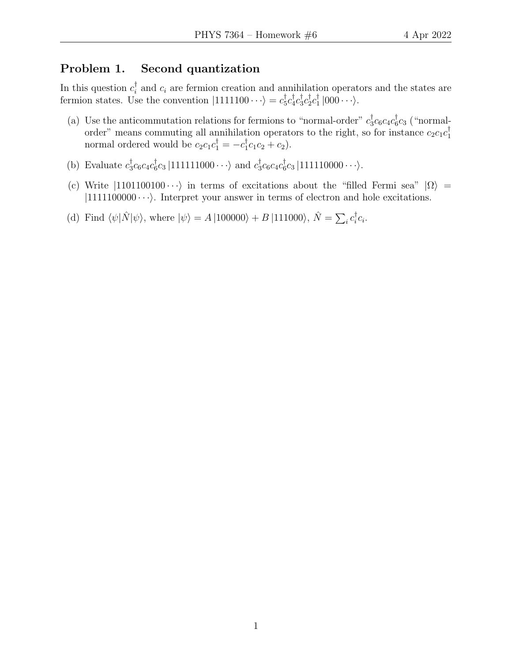## Problem 1. Second quantization

In this question  $c_i^{\dagger}$  $\overline{a}_i$  and  $c_i$  are fermion creation and annihilation operators and the states are fermion states. Use the convention  $|1111100 \cdots \rangle = c_5^{\dagger}$  $_{5}^{\dagger}c_{4}^{\dagger}$  $_{4}^{\dagger}c_{3}^{\dagger}$  $_3^{\dagger}c_2^{\dagger}$  $\frac{1}{2}c_1^\dagger$  $\frac{1}{1}$   $|000 \cdots \rangle$ .

- (a) Use the anticommutation relations for fermions to "normal-order"  $c_3^{\dagger}$  $_{3}^{\dagger}c_{6}c_{4}c_{6}^{\dagger}$  $\frac{1}{6}c_3$  ("normalorder" means commuting all annihilation operators to the right, so for instance  $c_2c_1c_1^{\dagger}$ 1 normal ordered would be  $c_2c_1c_1^{\dagger} = -c_1^{\dagger}$  $_{1}^{\dagger}c_{1}c_{2}+c_{2}).$
- (b) Evaluate  $c_3^{\dagger}$  $_{3}^{\dagger}c_{6}c_{4}c_{6}^{\dagger}$  $\frac{1}{6}c_3\ket{111111000\cdots}$  and  $c_3^\dagger$  $_{3}^{\dagger}c_{6}c_{4}c_{6}^{\dagger}$  $\int_6^{\pi} c_3 |111110000 \cdots \rangle$ .
- (c) Write  $|1101100100 \cdots\rangle$  in terms of excitations about the "filled Fermi sea"  $|\Omega\rangle$  =  $|1111100000 \cdots\rangle$ . Interpret your answer in terms of electron and hole excitations.
- (d) Find  $\langle \psi | \hat{N} | \psi \rangle$ , where  $| \psi \rangle = A |100000\rangle + B |111000\rangle$ ,  $\hat{N} = \sum_i c_i^{\dagger}$  $\frac{1}{i}c_i.$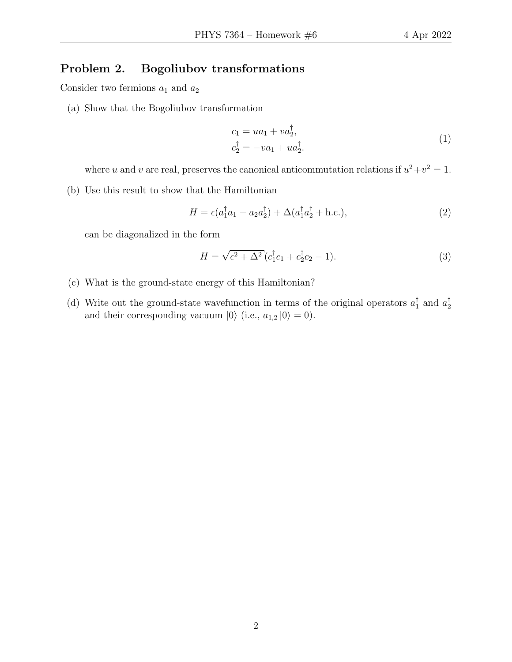## Problem 2. Bogoliubov transformations

Consider two fermions  $a_1$  and  $a_2$ 

(a) Show that the Bogoliubov transformation

$$
c_1 = ua_1 + va_2^{\dagger}, c_2^{\dagger} = -va_1 + ua_2^{\dagger}.
$$
 (1)

where u and v are real, preserves the canonical anticommutation relations if  $u^2 + v^2 = 1$ .

(b) Use this result to show that the Hamiltonian

$$
H = \epsilon (a_1^\dagger a_1 - a_2 a_2^\dagger) + \Delta (a_1^\dagger a_2^\dagger + \text{h.c.}),\tag{2}
$$

can be diagonalized in the form

$$
H = \sqrt{\epsilon^2 + \Delta^2} (c_1^{\dagger} c_1 + c_2^{\dagger} c_2 - 1).
$$
 (3)

- (c) What is the ground-state energy of this Hamiltonian?
- (d) Write out the ground-state wavefunction in terms of the original operators  $a_1^{\dagger}$  $_1^{\dagger}$  and  $a_2^{\dagger}$ 2 and their corresponding vacuum  $|0\rangle$  (i.e.,  $a_{1,2} |0\rangle = 0$ ).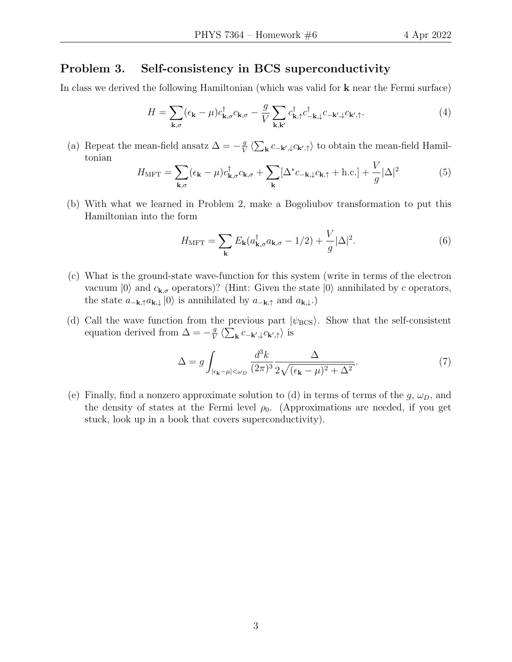## Problem 3. Self-consistency in BCS superconductivity

In class we derived the following Hamiltonian (which was valid for k near the Fermi surface)

$$
H = \sum_{\mathbf{k},\sigma} (\epsilon_{\mathbf{k}} - \mu) c_{\mathbf{k},\sigma}^{\dagger} c_{\mathbf{k},\sigma} - \frac{g}{V} \sum_{\mathbf{k},\mathbf{k}'} c_{\mathbf{k},\uparrow}^{\dagger} c_{-\mathbf{k},\downarrow}^{\dagger} c_{-\mathbf{k}',\downarrow}^{\dagger} c_{\mathbf{k}',\uparrow}.
$$
 (4)

(a) Repeat the mean-field ansatz  $\Delta = -\frac{g}{V}$  $\frac{g}{V} \langle \sum_{\mathbf{k}} c_{-\mathbf{k}',\downarrow} c_{\mathbf{k}',\uparrow} \rangle$  to obtain the mean-field Hamiltonian

$$
H_{\text{MFT}} = \sum_{\mathbf{k},\sigma} (\epsilon_{\mathbf{k}} - \mu) c_{\mathbf{k},\sigma}^{\dagger} c_{\mathbf{k},\sigma} + \sum_{\mathbf{k}} [\Delta^* c_{-\mathbf{k},\downarrow} c_{\mathbf{k},\uparrow} + \text{h.c.}] + \frac{V}{g} |\Delta|^2 \tag{5}
$$

(b) With what we learned in Problem 2, make a Bogoliubov transformation to put this Hamiltonian into the form

$$
H_{\text{MFT}} = \sum_{\mathbf{k}} E_{\mathbf{k}} (a_{\mathbf{k},\sigma}^{\dagger} a_{\mathbf{k},\sigma} - 1/2) + \frac{V}{g} |\Delta|^2.
$$
 (6)

- (c) What is the ground-state wave-function for this system (write in terms of the electron vacuum  $|0\rangle$  and  $c_{\mathbf{k},\sigma}$  operators)? (Hint: Given the state  $|0\rangle$  annihilated by c operators, the state  $a_{-{\bf k},\uparrow}a_{{\bf k},\downarrow}\left|0\right\rangle$  is annihilated by  $a_{-{\bf k},\uparrow}$  and  $a_{{\bf k},\downarrow}.\right)$
- (d) Call the wave function from the previous part  $|\psi_{\rm BCS}\rangle$ . Show that the self-consistent equation derived from  $\Delta = -\frac{g}{V}$  $\frac{g}{V} \left\langle \sum_{\mathbf{k}} c_{-\mathbf{k}',\downarrow} c_{\mathbf{k}',\uparrow} \right\rangle$  is

$$
\Delta = g \int_{|\epsilon_{\mathbf{k}} - \mu| < \omega_D} \frac{d^3 k}{(2\pi)^3} \frac{\Delta}{2\sqrt{(\epsilon_{\mathbf{k}} - \mu)^2 + \Delta^2}}.\tag{7}
$$

(e) Finally, find a nonzero approximate solution to (d) in terms of terms of the  $g, \omega_D$ , and the density of states at the Fermi level  $\rho_0$ . (Approximations are needed, if you get stuck, look up in a book that covers superconductivity).